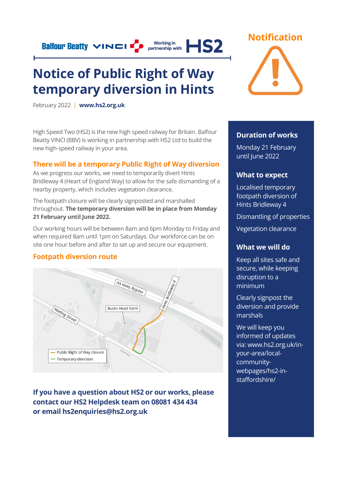## **Notice of Public Right of Way temporary diversion in Hints**

Working in **IS2** 

February 2022 | **[www.hs2.org.uk](http://www.hs2.org.uk/)**

**Balfour Beatty VINCI FO** 

High Speed Two (HS2) is the new high speed railway for Britain. Balfour Beatty VINCI (BBV) is working in partnership with HS2 Ltd to build the new high-speed railway in your area.

#### **There will be a temporary Public Right of Way diversion**

As we progress our works, we need to temporarily divert Hints Bridleway 4 (Heart of England Way) to allow for the safe dismantling of a nearby property, which includes vegetation clearance.

The footpath closure will be clearly signposted and marshalled throughout. **The temporary diversion will be in place from Monday 21 February until June 2022.** 

Our working hours will be between 8am and 6pm Monday to Friday and when required 8am until 1pm on Saturdays. Our workforce can be on site one hour before and after to set up and secure our equipment.

#### **Footpath diversion route**



**If you have a question about HS2 or our works, please contact our HS2 Helpdesk team on 08081 434 434 or email hs2enquiries@hs2.org.uk**



#### **Duration of works**

Monday 21 February until June 2022

#### **What to expect**

Localised temporary footpath diversion of Hints Bridleway 4

Dismantling of properties

Vegetation clearance

#### **What we will do**

Keep all sites safe and secure, while keeping disruption to a minimum

Clearly signpost the diversion and provide marshals

We will keep you informed of updates via: www.hs2.org.uk/inyour-area/localcommunitywebpages/hs2-instaffordshire/